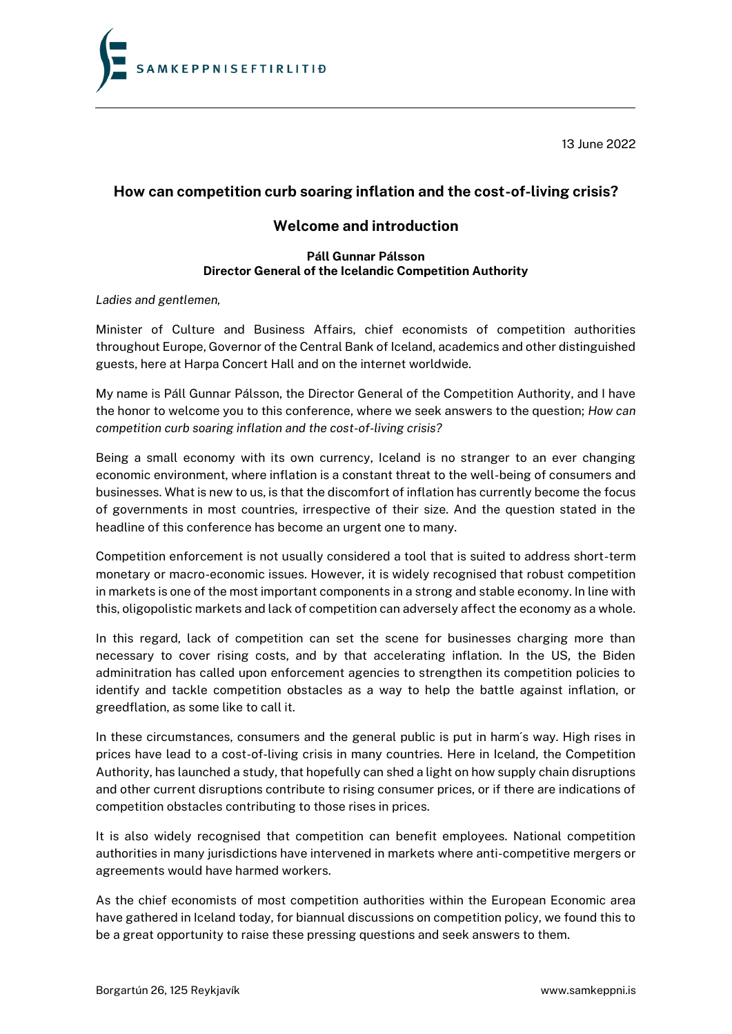**SAMKEPPNISEFTIRLITIĐ** 

13 June 2022

## **How can competition curb soaring inflation and the cost-of-living crisis?**

## **Welcome and introduction**

## **Páll Gunnar Pálsson Director General of the Icelandic Competition Authority**

*Ladies and gentlemen,*

Minister of Culture and Business Affairs, chief economists of competition authorities throughout Europe, Governor of the Central Bank of Iceland, academics and other distinguished guests, here at Harpa Concert Hall and on the internet worldwide.

My name is Páll Gunnar Pálsson, the Director General of the Competition Authority, and I have the honor to welcome you to this conference, where we seek answers to the question; *How can competition curb soaring inflation and the cost-of-living crisis?*

Being a small economy with its own currency, Iceland is no stranger to an ever changing economic environment, where inflation is a constant threat to the well-being of consumers and businesses. What is new to us, is that the discomfort of inflation has currently become the focus of governments in most countries, irrespective of their size. And the question stated in the headline of this conference has become an urgent one to many.

Competition enforcement is not usually considered a tool that is suited to address short-term monetary or macro-economic issues. However, it is [widely recognised](https://www.oecd.org/daf/competition/2014-competition-factsheet-iv-en.pdf) that robust competition in markets is one of the most important components in a strong and stable economy. In line with this, oligopolistic markets and lack of competition can adversely affect the economy as a whole.

In this regard, lack of competition can set the scene for businesses charging more than necessary to cover rising costs, and by that accelerating inflation. In the US, the Biden adminitration has called upon enforcement agencies to strengthen its competition policies to identify and tackle competition obstacles as a way to help the battle against inflation, or greedflation, as some like to call it.

In these circumstances, consumers and the general public is put in harm´s way. High rises in prices have lead to a cost-of-living crisis in many countries. Here in Iceland, the Competition Authority, has launched a study, that hopefully can shed a light on how supply chain disruptions and other current disruptions contribute to rising consumer prices, or if there are indications of competition obstacles contributing to those rises in prices.

It is also widely recognised that competition can benefit employees. National competition authorities in many jurisdictions have intervened in markets where anti-competitive mergers or agreements would have harmed workers.

As the chief economists of most competition authorities within the European Economic area have gathered in Iceland today, for biannual discussions on competition policy, we found this to be a great opportunity to raise these pressing questions and seek answers to them.